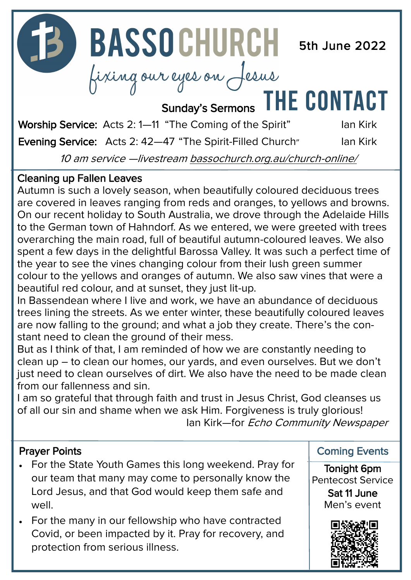

10 am service —livestream [bassochurch.org.au/church](https://www.bassochurch.org.au/church-online/)-online/

#### Cleaning up Fallen Leaves

Autumn is such a lovely season, when beautifully coloured deciduous trees are covered in leaves ranging from reds and oranges, to yellows and browns. On our recent holiday to South Australia, we drove through the Adelaide Hills to the German town of Hahndorf. As we entered, we were greeted with trees overarching the main road, full of beautiful autumn-coloured leaves. We also spent a few days in the delightful Barossa Valley. It was such a perfect time of the year to see the vines changing colour from their lush green summer colour to the yellows and oranges of autumn. We also saw vines that were a beautiful red colour, and at sunset, they just lit-up.

In Bassendean where I live and work, we have an abundance of deciduous trees lining the streets. As we enter winter, these beautifully coloured leaves are now falling to the ground; and what a job they create. There's the constant need to clean the ground of their mess.

But as I think of that, I am reminded of how we are constantly needing to clean up – to clean our homes, our yards, and even ourselves. But we don't just need to clean ourselves of dirt. We also have the need to be made clean from our fallenness and sin.

I am so grateful that through faith and trust in Jesus Christ, God cleanses us of all our sin and shame when we ask Him. Forgiveness is truly glorious! Ian Kirk—for Echo Community Newspaper

#### Prayer Points

- For the State Youth Games this long weekend. Pray for our team that many may come to personally know the Lord Jesus, and that God would keep them safe and well.
- For the many in our fellowship who have contracted Covid, or been impacted by it. Pray for recovery, and protection from serious illness.

Coming Events

Tonight 6pm Pentecost Service

> Sat 11 June Men's event

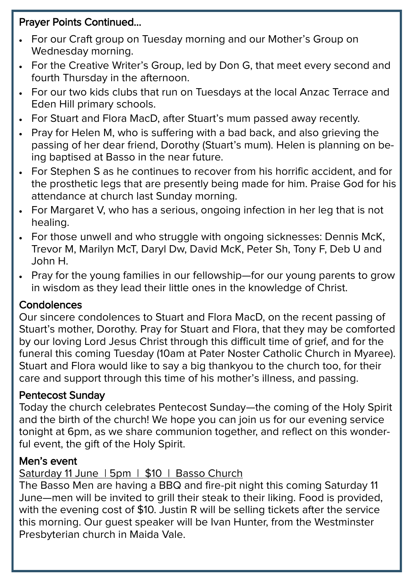#### Prayer Points Continued...

- For our Craft group on Tuesday morning and our Mother's Group on Wednesday morning.
- For the Creative Writer's Group, led by Don G, that meet every second and fourth Thursday in the afternoon.
- For our two kids clubs that run on Tuesdays at the local Anzac Terrace and Eden Hill primary schools.
- For Stuart and Flora MacD, after Stuart's mum passed away recently.
- Pray for Helen M, who is suffering with a bad back, and also grieving the passing of her dear friend, Dorothy (Stuart's mum). Helen is planning on being baptised at Basso in the near future.
- For Stephen S as he continues to recover from his horrific accident, and for the prosthetic legs that are presently being made for him. Praise God for his attendance at church last Sunday morning.
- For Margaret V, who has a serious, ongoing infection in her leg that is not healing.
- For those unwell and who struggle with ongoing sicknesses: Dennis McK, Trevor M, Marilyn McT, Daryl Dw, David McK, Peter Sh, Tony F, Deb U and John H.
- Pray for the young families in our fellowship—for our young parents to grow in wisdom as they lead their little ones in the knowledge of Christ.

#### **Condolences**

Our sincere condolences to Stuart and Flora MacD, on the recent passing of Stuart's mother, Dorothy. Pray for Stuart and Flora, that they may be comforted by our loving Lord Jesus Christ through this difficult time of grief, and for the funeral this coming Tuesday (10am at Pater Noster Catholic Church in Myaree). Stuart and Flora would like to say a big thankyou to the church too, for their care and support through this time of his mother's illness, and passing.

#### Pentecost Sunday

Today the church celebrates Pentecost Sunday—the coming of the Holy Spirit and the birth of the church! We hope you can join us for our evening service tonight at 6pm, as we share communion together, and reflect on this wonderful event, the gift of the Holy Spirit.

#### Men's event

#### Saturday 11 June | 5pm | \$10 | Basso Church

The Basso Men are having a BBQ and fire-pit night this coming Saturday 11 June—men will be invited to grill their steak to their liking. Food is provided, with the evening cost of \$10. Justin R will be selling tickets after the service this morning. Our guest speaker will be Ivan Hunter, from the Westminster Presbyterian church in Maida Vale.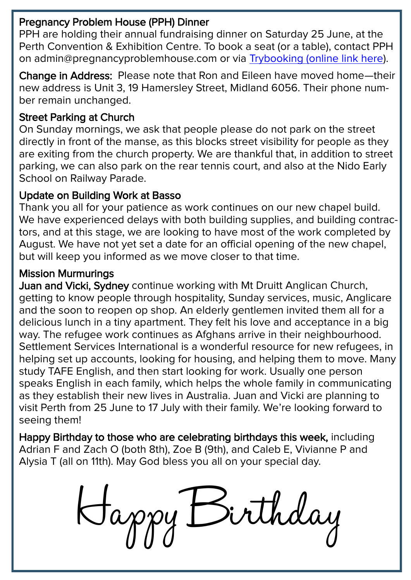#### Pregnancy Problem House (PPH) Dinner

PPH are holding their annual fundraising dinner on Saturday 25 June, at the Perth Convention & Exhibition Centre. To book a seat (or a table), contact PPH on admin@pregnancyproblemhouse.com or via [Trybooking \(online link here\)](https://www.trybooking.com/events/landing?eid=893876&).

Change in Address: Please note that Ron and Eileen have moved home—their new address is Unit 3, 19 Hamersley Street, Midland 6056. Their phone number remain unchanged.

#### Street Parking at Church

On Sunday mornings, we ask that people please do not park on the street directly in front of the manse, as this blocks street visibility for people as they are exiting from the church property. We are thankful that, in addition to street parking, we can also park on the rear tennis court, and also at the Nido Early School on Railway Parade.

#### Update on Building Work at Basso

Thank you all for your patience as work continues on our new chapel build. We have experienced delays with both building supplies, and building contractors, and at this stage, we are looking to have most of the work completed by August. We have not yet set a date for an official opening of the new chapel, but will keep you informed as we move closer to that time.

#### Mission Murmurings

Juan and Vicki, Sydney continue working with Mt Druitt Anglican Church, getting to know people through hospitality, Sunday services, music, Anglicare and the soon to reopen op shop. An elderly gentlemen invited them all for a delicious lunch in a tiny apartment. They felt his love and acceptance in a big way. The refugee work continues as Afghans arrive in their neighbourhood. Settlement Services International is a wonderful resource for new refugees, in helping set up accounts, looking for housing, and helping them to move. Many study TAFE English, and then start looking for work. Usually one person speaks English in each family, which helps the whole family in communicating as they establish their new lives in Australia. Juan and Vicki are planning to visit Perth from 25 June to 17 July with their family. We're looking forward to seeing them!

Happy Birthday to those who are celebrating birthdays this week, including Adrian F and Zach O (both 8th), Zoe B (9th), and Caleb E, Vivianne P and Alysia T (all on 11th). May God bless you all on your special day.

Happy Birthday